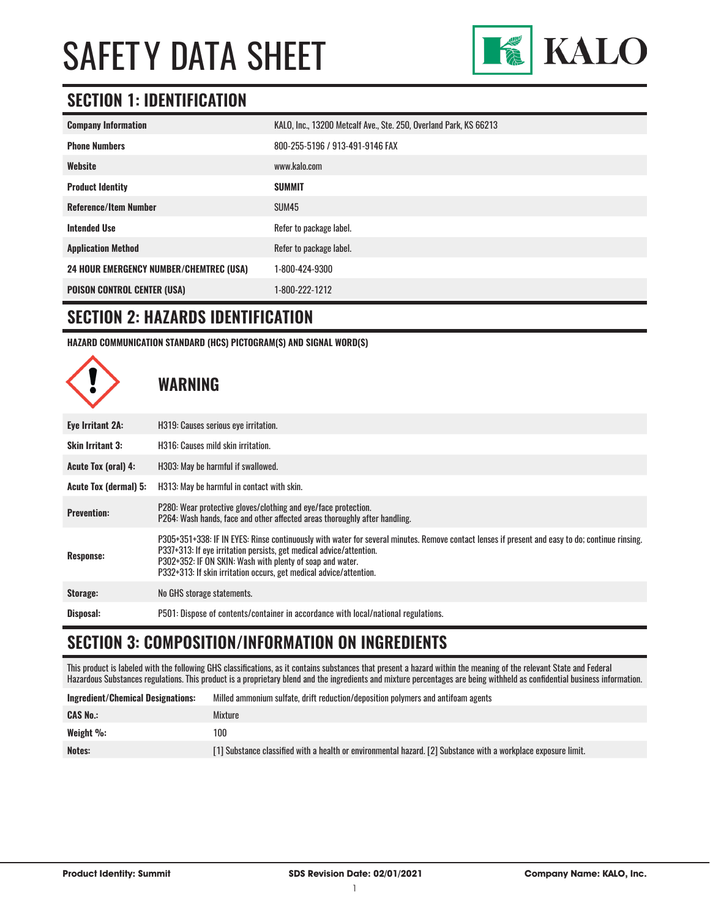

### **SECTION 1: IDENTIFICATION**

| <b>Company Information</b>                     | KALO, Inc., 13200 Metcalf Ave., Ste. 250, Overland Park, KS 66213 |
|------------------------------------------------|-------------------------------------------------------------------|
| <b>Phone Numbers</b>                           | 800-255-5196 / 913-491-9146 FAX                                   |
| Website                                        | www.kalo.com                                                      |
| <b>Product Identity</b>                        | <b>SUMMIT</b>                                                     |
| <b>Reference/Item Number</b>                   | SUM45                                                             |
| <b>Intended Use</b>                            | Refer to package label.                                           |
| <b>Application Method</b>                      | Refer to package label.                                           |
| <b>24 HOUR EMERGENCY NUMBER/CHEMTREC (USA)</b> | 1-800-424-9300                                                    |
| <b>POISON CONTROL CENTER (USA)</b>             | 1-800-222-1212                                                    |

#### **SECTION 2: HAZARDS IDENTIFICATION**

**HAZARD COMMUNICATION STANDARD (HCS) PICTOGRAM(S) AND SIGNAL WORD(S)**



### **WARNING**

| Eye Irritant 2A:           | H319: Causes serious eye irritation.                                                                                                                                                                                                                                                                                                                      |  |
|----------------------------|-----------------------------------------------------------------------------------------------------------------------------------------------------------------------------------------------------------------------------------------------------------------------------------------------------------------------------------------------------------|--|
| <b>Skin Irritant 3:</b>    | H316: Causes mild skin irritation.                                                                                                                                                                                                                                                                                                                        |  |
| <b>Acute Tox (oral) 4:</b> | H303: May be harmful if swallowed.                                                                                                                                                                                                                                                                                                                        |  |
| Acute Tox (dermal) 5:      | H313: May be harmful in contact with skin.                                                                                                                                                                                                                                                                                                                |  |
| <b>Prevention:</b>         | P280: Wear protective gloves/clothing and eye/face protection.<br>P264: Wash hands, face and other affected areas thoroughly after handling.                                                                                                                                                                                                              |  |
| <b>Response:</b>           | P305+351+338: IF IN EYES: Rinse continuously with water for several minutes. Remove contact lenses if present and easy to do; continue rinsing.<br>P337+313: If eye irritation persists, get medical advice/attention.<br>P302+352: IF ON SKIN: Wash with plenty of soap and water.<br>P332+313: If skin irritation occurs, get medical advice/attention. |  |
| Storage:                   | No GHS storage statements.                                                                                                                                                                                                                                                                                                                                |  |
| Disposal:                  | P501: Dispose of contents/container in accordance with local/national regulations.                                                                                                                                                                                                                                                                        |  |

#### **SECTION 3: COMPOSITION/INFORMATION ON INGREDIENTS**

This product is labeled with the following GHS classifications, as it contains substances that present a hazard within the meaning of the relevant State and Federal Hazardous Substances regulations. This product is a proprietary blend and the ingredients and mixture percentages are being withheld as confidential business information.

| Ingredient/Chemical Designations: | Milled ammonium sulfate, drift reduction/deposition polymers and antifoam agents                               |
|-----------------------------------|----------------------------------------------------------------------------------------------------------------|
| <b>CAS No.:</b>                   | Mixture                                                                                                        |
| Weight $\%$ :                     | 100                                                                                                            |
| Notes:                            | [1] Substance classified with a health or environmental hazard. [2] Substance with a workplace exposure limit. |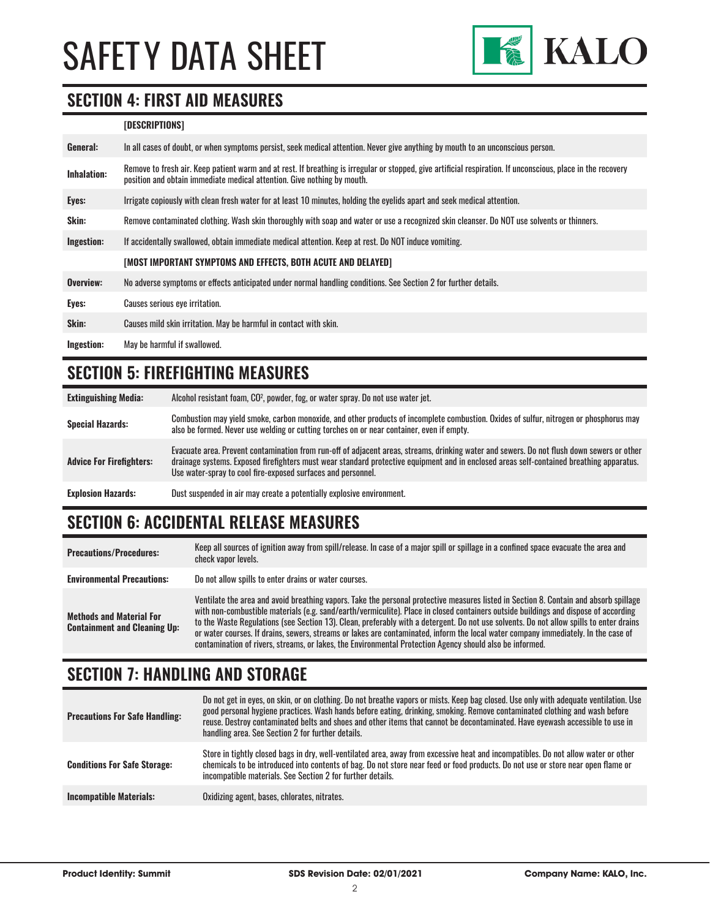

#### **SECTION 4: FIRST AID MEASURES**

#### **[DESCRIPTIONS]**

| General:           | In all cases of doubt, or when symptoms persist, seek medical attention. Never give anything by mouth to an unconscious person.                                                                                                         |
|--------------------|-----------------------------------------------------------------------------------------------------------------------------------------------------------------------------------------------------------------------------------------|
| <b>Inhalation:</b> | Remove to fresh air. Keep patient warm and at rest. If breathing is irregular or stopped, give artificial respiration. If unconscious, place in the recovery<br>position and obtain immediate medical attention. Give nothing by mouth. |
| Eyes:              | Irrigate copiously with clean fresh water for at least 10 minutes, holding the eyelids apart and seek medical attention.                                                                                                                |
| Skin:              | Remove contaminated clothing. Wash skin thoroughly with soap and water or use a recognized skin cleanser. Do NOT use solvents or thinners.                                                                                              |
| Ingestion:         | If accidentally swallowed, obtain immediate medical attention. Keep at rest, Do NOT induce vomiting.                                                                                                                                    |
|                    | [MOST IMPORTANT SYMPTOMS AND EFFECTS, BOTH ACUTE AND DELAYED]                                                                                                                                                                           |
| Overview:          | No adverse symptoms or effects anticipated under normal handling conditions. See Section 2 for further details.                                                                                                                         |
| Eyes:              | Causes serious eye irritation.                                                                                                                                                                                                          |
| Skin:              | Causes mild skin irritation. May be harmful in contact with skin.                                                                                                                                                                       |
| Ingestion:         | May be harmful if swallowed.                                                                                                                                                                                                            |

#### **SECTION 5: FIREFIGHTING MEASURES**

**Extinguishing Media:** Alcohol resistant foam, CO2 , powder, fog, or water spray. Do not use water jet. Special Hazards:<br>
Special Hazards:<br>
Special Hazards:<br>
Special Hazards:<br>
Special Hazards:<br>
Special Hazards: also be formed. Never use welding or cutting torches on or near container, even if empty. **Advice For Firefighters:** Evacuate area. Prevent contamination from run-off of adjacent areas, streams, drinking water and sewers. Do not flush down sewers or other drainage systems. Exposed firefighters must wear standard protective equipment and in enclosed areas self-contained breathing apparatus. Use water-spray to cool fire-exposed surfaces and personnel. **Explosion Hazards:** Dust suspended in air may create a potentially explosive environment.

### **SECTION 6: ACCIDENTAL RELEASE MEASURES**

| <b>Precautions/Procedures:</b>                                         | Keep all sources of ignition away from spill/release. In case of a major spill or spillage in a confined space evacuate the area and<br>check vapor levels.                                                                                                                                                                                                                                                                                                                                                                                                                                                                                                               |
|------------------------------------------------------------------------|---------------------------------------------------------------------------------------------------------------------------------------------------------------------------------------------------------------------------------------------------------------------------------------------------------------------------------------------------------------------------------------------------------------------------------------------------------------------------------------------------------------------------------------------------------------------------------------------------------------------------------------------------------------------------|
| <b>Environmental Precautions:</b>                                      | Do not allow spills to enter drains or water courses.                                                                                                                                                                                                                                                                                                                                                                                                                                                                                                                                                                                                                     |
| <b>Methods and Material For</b><br><b>Containment and Cleaning Up:</b> | Ventilate the area and avoid breathing vapors. Take the personal protective measures listed in Section 8. Contain and absorb spillage<br>with non-combustible materials (e.g. sand/earth/vermiculite). Place in closed containers outside buildings and dispose of according<br>to the Waste Regulations (see Section 13). Clean, preferably with a detergent. Do not use solvents. Do not allow spills to enter drains<br>or water courses. If drains, sewers, streams or lakes are contaminated, inform the local water company immediately. In the case of<br>contamination of rivers, streams, or lakes, the Environmental Protection Agency should also be informed. |

#### **SECTION 7: HANDLING AND STORAGE**

| <b>Precautions For Safe Handling:</b> | Do not get in eyes, on skin, or on clothing. Do not breathe vapors or mists. Keep bag closed. Use only with adequate ventilation. Use<br>good personal hygiene practices. Wash hands before eating, drinking, smoking. Remove contaminated clothing and wash before<br>reuse. Destroy contaminated belts and shoes and other items that cannot be decontaminated. Have eyewash accessible to use in<br>handling area. See Section 2 for further details. |
|---------------------------------------|----------------------------------------------------------------------------------------------------------------------------------------------------------------------------------------------------------------------------------------------------------------------------------------------------------------------------------------------------------------------------------------------------------------------------------------------------------|
| <b>Conditions For Safe Storage:</b>   | Store in tightly closed bags in dry, well-ventilated area, away from excessive heat and incompatibles. Do not allow water or other<br>chemicals to be introduced into contents of bag. Do not store near feed or food products. Do not use or store near open flame or<br>incompatible materials. See Section 2 for further details.                                                                                                                     |
| <b>Incompatible Materials:</b>        | Oxidizing agent, bases, chlorates, nitrates.                                                                                                                                                                                                                                                                                                                                                                                                             |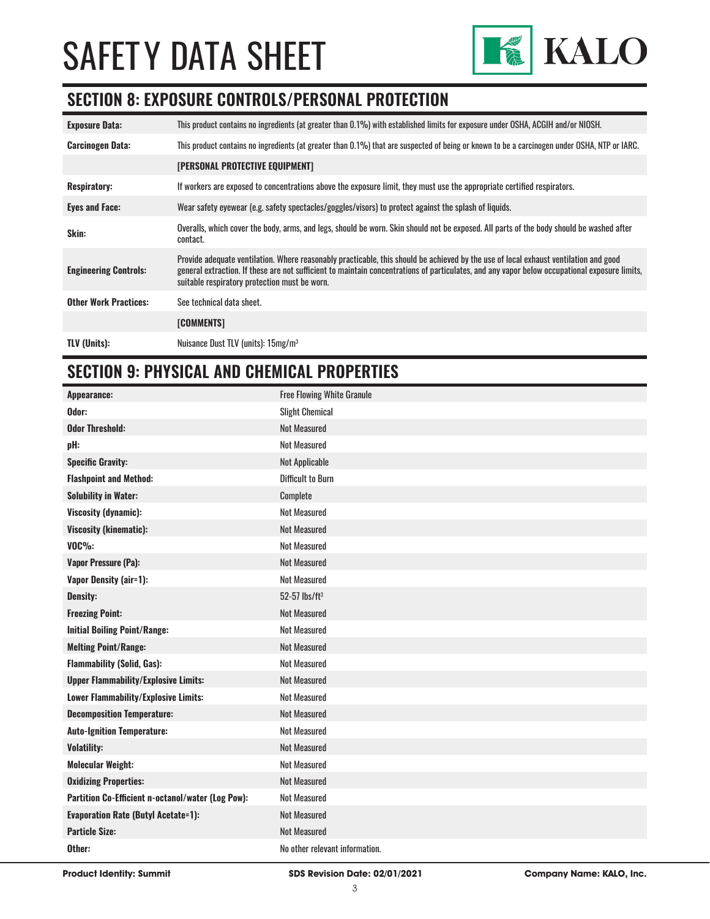

#### **SECTION 8: EXPOSURE CONTROLS/PERSONAL PROTECTION**

| <b>Exposure Data:</b>        | This product contains no ingredients (at greater than 0.1%) with established limits for exposure under OSHA, ACGIH and/or NIOSH.                                                                                                                                                                                                       |
|------------------------------|----------------------------------------------------------------------------------------------------------------------------------------------------------------------------------------------------------------------------------------------------------------------------------------------------------------------------------------|
| <b>Carcinogen Data:</b>      | This product contains no ingredients (at greater than 0.1%) that are suspected of being or known to be a carcinogen under OSHA, NTP or IARC.                                                                                                                                                                                           |
|                              | <b>[PERSONAL PROTECTIVE EQUIPMENT]</b>                                                                                                                                                                                                                                                                                                 |
| <b>Respiratory:</b>          | If workers are exposed to concentrations above the exposure limit, they must use the appropriate certified respirators.                                                                                                                                                                                                                |
| <b>Eyes and Face:</b>        | Wear safety eyewear (e.g. safety spectacles/goggles/visors) to protect against the splash of liquids.                                                                                                                                                                                                                                  |
| Skin:                        | Overalls, which cover the body, arms, and legs, should be worn. Skin should not be exposed. All parts of the body should be washed after<br>contact.                                                                                                                                                                                   |
| <b>Engineering Controls:</b> | Provide adequate ventilation. Where reasonably practicable, this should be achieved by the use of local exhaust ventilation and good<br>general extraction. If these are not sufficient to maintain concentrations of particulates, and any vapor below occupational exposure limits,<br>suitable respiratory protection must be worn. |
| <b>Other Work Practices:</b> | See technical data sheet.                                                                                                                                                                                                                                                                                                              |
|                              | <b>[COMMENTS]</b>                                                                                                                                                                                                                                                                                                                      |
| <b>TLV (Units):</b>          | Nuisance Dust TLV (units): 15mg/m <sup>3</sup>                                                                                                                                                                                                                                                                                         |

#### **SECTION 9: PHYSICAL AND CHEMICAL PROPERTIES**

| Appearance:                                       | <b>Free Flowing White Granule</b> |
|---------------------------------------------------|-----------------------------------|
| Odor:                                             | <b>Slight Chemical</b>            |
| <b>Odor Threshold:</b>                            | <b>Not Measured</b>               |
| pH:                                               | <b>Not Measured</b>               |
| <b>Specific Gravity:</b>                          | Not Applicable                    |
| <b>Flashpoint and Method:</b>                     | <b>Difficult to Burn</b>          |
| <b>Solubility in Water:</b>                       | Complete                          |
| <b>Viscosity (dynamic):</b>                       | <b>Not Measured</b>               |
| <b>Viscosity (kinematic):</b>                     | <b>Not Measured</b>               |
| <b>VOC%:</b>                                      | <b>Not Measured</b>               |
| <b>Vapor Pressure (Pa):</b>                       | <b>Not Measured</b>               |
| <b>Vapor Density (air=1):</b>                     | <b>Not Measured</b>               |
| <b>Density:</b>                                   | $52-57$ lbs/ft <sup>3</sup>       |
| <b>Freezing Point:</b>                            | <b>Not Measured</b>               |
| <b>Initial Boiling Point/Range:</b>               | <b>Not Measured</b>               |
| <b>Melting Point/Range:</b>                       | <b>Not Measured</b>               |
| <b>Flammability (Solid, Gas):</b>                 | <b>Not Measured</b>               |
| <b>Upper Flammability/Explosive Limits:</b>       | <b>Not Measured</b>               |
| Lower Flammability/Explosive Limits:              | <b>Not Measured</b>               |
| <b>Decomposition Temperature:</b>                 | <b>Not Measured</b>               |
| <b>Auto-Ignition Temperature:</b>                 | <b>Not Measured</b>               |
| <b>Volatility:</b>                                | <b>Not Measured</b>               |
| <b>Molecular Weight:</b>                          | <b>Not Measured</b>               |
| <b>Oxidizing Properties:</b>                      | <b>Not Measured</b>               |
| Partition Co-Efficient n-octanol/water (Log Pow): | <b>Not Measured</b>               |
| <b>Evaporation Rate (Butyl Acetate=1):</b>        | <b>Not Measured</b>               |
| <b>Particle Size:</b>                             | <b>Not Measured</b>               |
| Other:                                            | No other relevant information.    |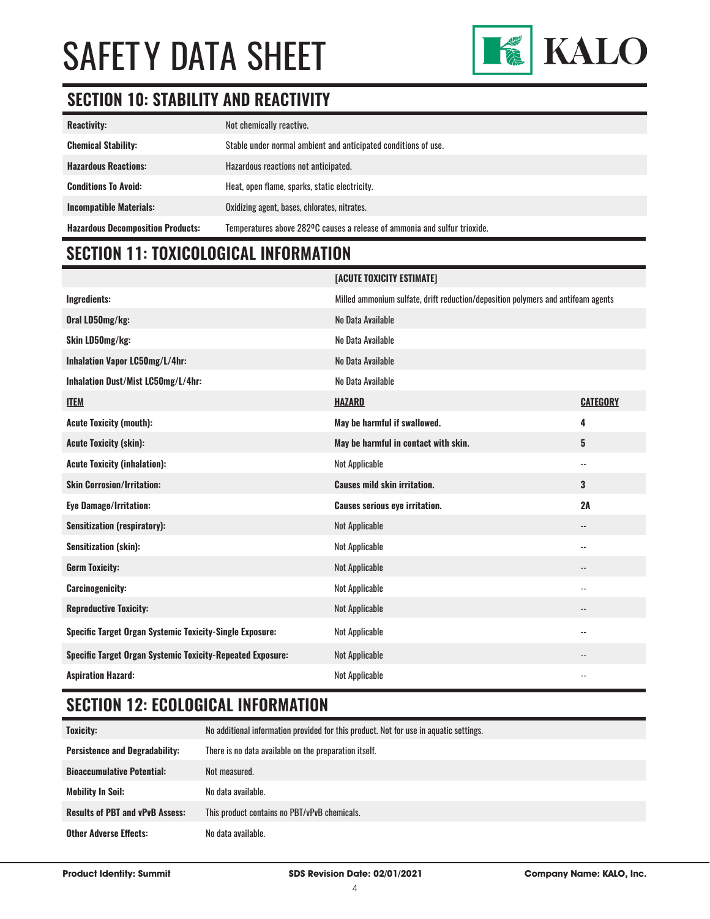

# **SECTION 10: STABILITY AND REACTIVITY**

| <b>Reactivity:</b>                       | Not chemically reactive.                                                  |
|------------------------------------------|---------------------------------------------------------------------------|
| <b>Chemical Stability:</b>               | Stable under normal ambient and anticipated conditions of use.            |
| <b>Hazardous Reactions:</b>              | Hazardous reactions not anticipated.                                      |
| <b>Conditions To Avoid:</b>              | Heat, open flame, sparks, static electricity.                             |
| <b>Incompatible Materials:</b>           | Oxidizing agent, bases, chlorates, nitrates.                              |
| <b>Hazardous Decomposition Products:</b> | Temperatures above 282°C causes a release of ammonia and sulfur trioxide. |

# **SECTION 11: TOXICOLOGICAL INFORMATION**

|                                                                   | [ACUTE TOXICITY ESTIMATE]                                                        |                          |
|-------------------------------------------------------------------|----------------------------------------------------------------------------------|--------------------------|
| Ingredients:                                                      | Milled ammonium sulfate, drift reduction/deposition polymers and antifoam agents |                          |
| Oral LD50mg/kg:                                                   | No Data Available                                                                |                          |
| Skin LD50mg/kg:                                                   | No Data Available                                                                |                          |
| Inhalation Vapor LC50mg/L/4hr:                                    | No Data Available                                                                |                          |
| Inhalation Dust/Mist LC50mg/L/4hr:                                | No Data Available                                                                |                          |
| <b>ITEM</b>                                                       | <b>HAZARD</b>                                                                    | <b>CATEGORY</b>          |
| <b>Acute Toxicity (mouth):</b>                                    | May be harmful if swallowed.                                                     | 4                        |
| <b>Acute Toxicity (skin):</b>                                     | May be harmful in contact with skin.                                             | 5                        |
| <b>Acute Toxicity (inhalation):</b>                               | <b>Not Applicable</b>                                                            | $\overline{\phantom{a}}$ |
| <b>Skin Corrosion/Irritation:</b>                                 | <b>Causes mild skin irritation.</b>                                              | 3                        |
| <b>Eye Damage/Irritation:</b>                                     | <b>Causes serious eye irritation.</b>                                            | 2A                       |
| <b>Sensitization (respiratory):</b>                               | <b>Not Applicable</b>                                                            | $\overline{\phantom{a}}$ |
| <b>Sensitization (skin):</b>                                      | <b>Not Applicable</b>                                                            | $\overline{\phantom{a}}$ |
| <b>Germ Toxicity:</b>                                             | <b>Not Applicable</b>                                                            | $\overline{\phantom{a}}$ |
| <b>Carcinogenicity:</b>                                           | <b>Not Applicable</b>                                                            | $\overline{\phantom{a}}$ |
| <b>Reproductive Toxicity:</b>                                     | <b>Not Applicable</b>                                                            | $\overline{\phantom{a}}$ |
| <b>Specific Target Organ Systemic Toxicity-Single Exposure:</b>   | <b>Not Applicable</b>                                                            | $\overline{\phantom{a}}$ |
| <b>Specific Target Organ Systemic Toxicity-Repeated Exposure:</b> | <b>Not Applicable</b>                                                            | $-$                      |
| <b>Aspiration Hazard:</b>                                         | <b>Not Applicable</b>                                                            | $-$                      |

## **SECTION 12: ECOLOGICAL INFORMATION**

| Toxicity:                              | No additional information provided for this product. Not for use in aquatic settings. |
|----------------------------------------|---------------------------------------------------------------------------------------|
| <b>Persistence and Degradability:</b>  | There is no data available on the preparation itself.                                 |
| <b>Bioaccumulative Potential:</b>      | Not measured.                                                                         |
| <b>Mobility In Soil:</b>               | No data available.                                                                    |
| <b>Results of PBT and vPvB Assess:</b> | This product contains no PBT/vPvB chemicals.                                          |
| <b>Other Adverse Effects:</b>          | No data available.                                                                    |